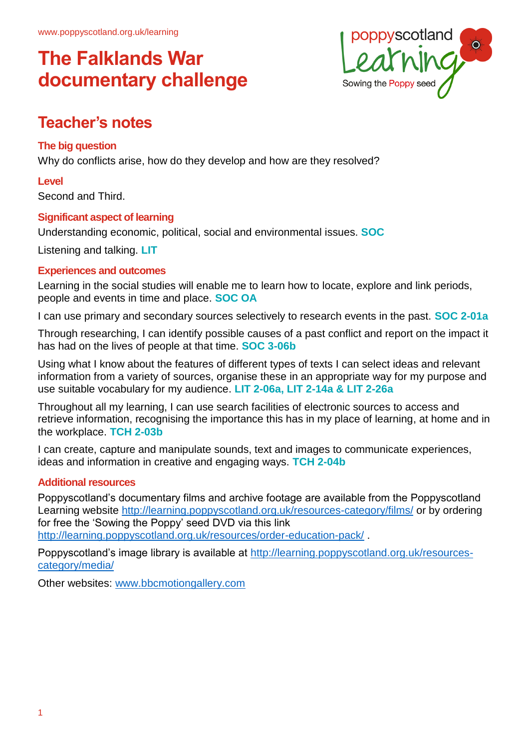

## **Teacher's notes**

#### **The big question**

Why do conflicts arise, how do they develop and how are they resolved?

#### **Level**

Second and Third.

#### **Significant aspect of learning**

Understanding economic, political, social and environmental issues. **SOC**

Listening and talking. **LIT**

#### **Experiences and outcomes**

Learning in the social studies will enable me to learn how to locate, explore and link periods, people and events in time and place. **SOC OA**

I can use primary and secondary sources selectively to research events in the past. **SOC 2-01a**

Through researching, I can identify possible causes of a past conflict and report on the impact it has had on the lives of people at that time. **SOC 3-06b**

Using what I know about the features of different types of texts I can select ideas and relevant information from a variety of sources, organise these in an appropriate way for my purpose and use suitable vocabulary for my audience. **LIT 2-06a, LIT 2-14a & LIT 2-26a**

Throughout all my learning, I can use search facilities of electronic sources to access and retrieve information, recognising the importance this has in my place of learning, at home and in the workplace. **TCH 2-03b**

I can create, capture and manipulate sounds, text and images to communicate experiences, ideas and information in creative and engaging ways. **TCH 2-04b**

#### **Additional resources**

Poppyscotland's documentary films and archive footage are available from the Poppyscotland Learning website<http://learning.poppyscotland.org.uk/resources-category/films/> or by ordering for free the 'Sowing the Poppy' seed DVD via this link <http://learning.poppyscotland.org.uk/resources/order-education-pack/> .

Poppyscotland's image library is available at [http://learning.poppyscotland.org.uk/resources](http://learning.poppyscotland.org.uk/resources-category/media/)[category/media/](http://learning.poppyscotland.org.uk/resources-category/media/) 

Other websites: [www.bbcmotiongallery.com](http://www.bbcmotiongallery.com/)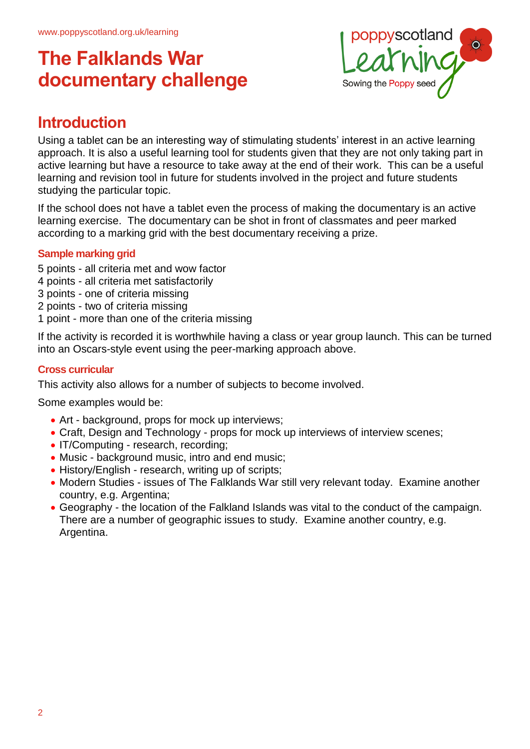

### **Introduction**

Using a tablet can be an interesting way of stimulating students' interest in an active learning approach. It is also a useful learning tool for students given that they are not only taking part in active learning but have a resource to take away at the end of their work. This can be a useful learning and revision tool in future for students involved in the project and future students studying the particular topic.

If the school does not have a tablet even the process of making the documentary is an active learning exercise. The documentary can be shot in front of classmates and peer marked according to a marking grid with the best documentary receiving a prize.

#### **Sample marking grid**

- 5 points all criteria met and wow factor
- 4 points all criteria met satisfactorily
- 3 points one of criteria missing
- 2 points two of criteria missing
- 1 point more than one of the criteria missing

If the activity is recorded it is worthwhile having a class or year group launch. This can be turned into an Oscars-style event using the peer-marking approach above.

#### **Cross curricular**

This activity also allows for a number of subjects to become involved.

Some examples would be:

- Art background, props for mock up interviews;
- Craft, Design and Technology props for mock up interviews of interview scenes;
- IT/Computing research, recording;
- Music background music, intro and end music;
- History/English research, writing up of scripts;
- Modern Studies issues of The Falklands War still very relevant today. Examine another country, e.g. Argentina;
- Geography the location of the Falkland Islands was vital to the conduct of the campaign. There are a number of geographic issues to study. Examine another country, e.g. Argentina.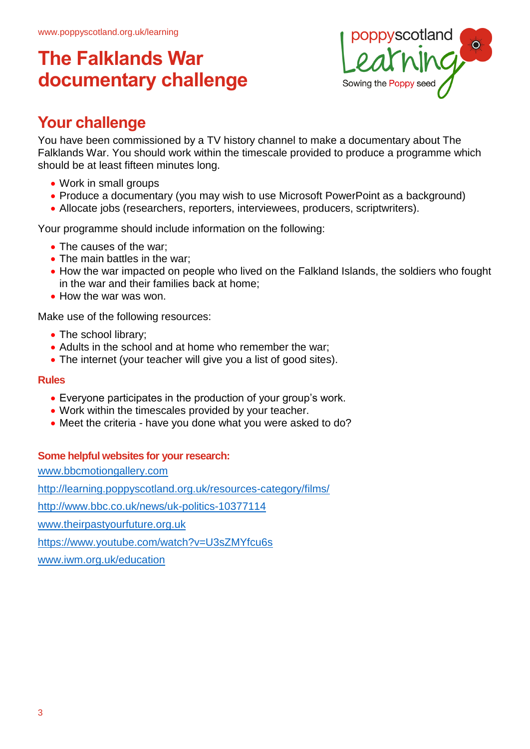

## **Your challenge**

You have been commissioned by a TV history channel to make a documentary about The Falklands War. You should work within the timescale provided to produce a programme which should be at least fifteen minutes long.

- Work in small groups
- Produce a documentary (you may wish to use Microsoft PowerPoint as a background)
- Allocate jobs (researchers, reporters, interviewees, producers, scriptwriters).

Your programme should include information on the following:

- The causes of the war:
- The main battles in the war:
- How the war impacted on people who lived on the Falkland Islands, the soldiers who fought in the war and their families back at home;
- How the war was won.

Make use of the following resources:

- The school library;
- Adults in the school and at home who remember the war;
- The internet (your teacher will give you a list of good sites).

#### **Rules**

- Everyone participates in the production of your group's work.
- Work within the timescales provided by your teacher.
- Meet the criteria have you done what you were asked to do?

#### **Some helpful websites for your research:**

www.bbcmotiongallery.com

http://learning.poppyscotland.org.uk/resources-category/films/

http://www.bbc.co.uk/news/uk-politics-10377114

www.theirpastyourfuture.org.uk

https://www.youtube.com/watch?v=U3sZMYfcu6s

www.iwm.org.uk/education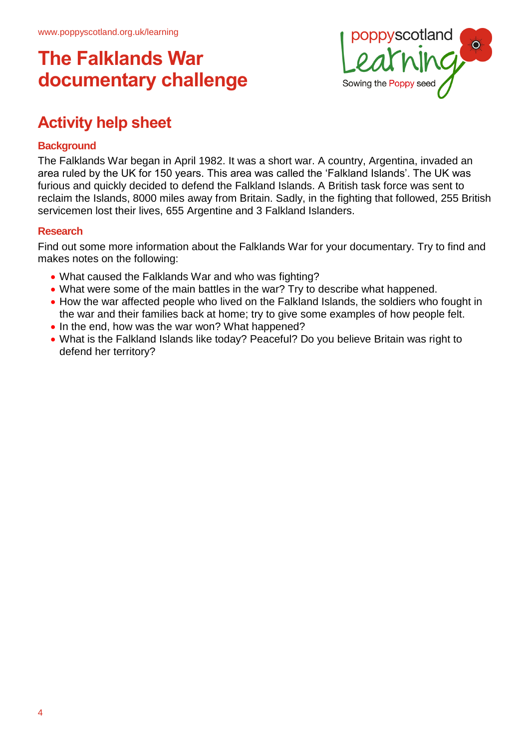

## **Activity help sheet**

#### **Background**

The Falklands War began in April 1982. It was a short war. A country, Argentina, invaded an area ruled by the UK for 150 years. This area was called the 'Falkland Islands'. The UK was furious and quickly decided to defend the Falkland Islands. A British task force was sent to reclaim the Islands, 8000 miles away from Britain. Sadly, in the fighting that followed, 255 British servicemen lost their lives, 655 Argentine and 3 Falkland Islanders.

#### **Research**

Find out some more information about the Falklands War for your documentary. Try to find and makes notes on the following:

- What caused the Falklands War and who was fighting?
- What were some of the main battles in the war? Try to describe what happened.
- How the war affected people who lived on the Falkland Islands, the soldiers who fought in the war and their families back at home; try to give some examples of how people felt.
- In the end, how was the war won? What happened?
- What is the Falkland Islands like today? Peaceful? Do you believe Britain was right to defend her territory?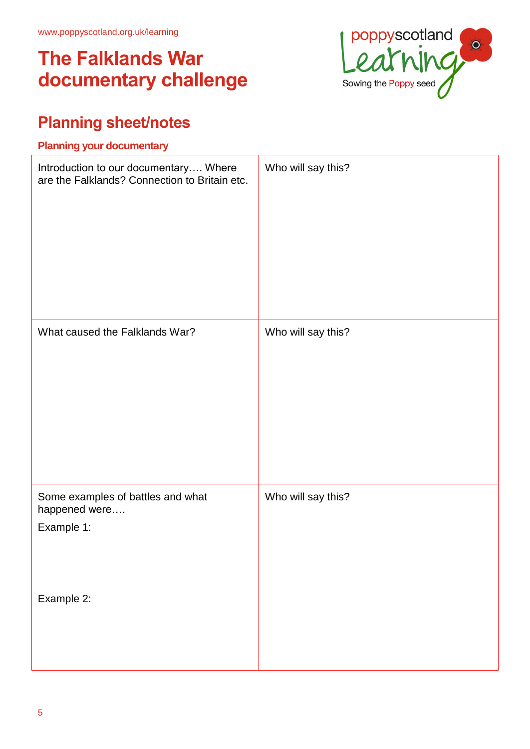

## **Planning sheet/notes**

# **Planning your documentary** Introduction to our documentary…. Where are the Falklands? Connection to Britain etc. Who will say this? What caused the Falklands War? Who will say this? Some examples of battles and what happened were…. Example 1: Example 2: Who will say this?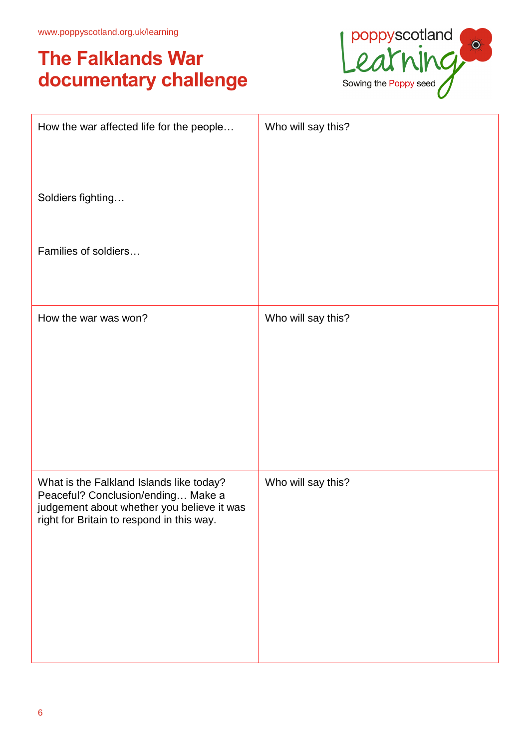

| How the war affected life for the people                                                                                                                                  | Who will say this? |
|---------------------------------------------------------------------------------------------------------------------------------------------------------------------------|--------------------|
| Soldiers fighting                                                                                                                                                         |                    |
| Families of soldiers                                                                                                                                                      |                    |
|                                                                                                                                                                           |                    |
| How the war was won?                                                                                                                                                      | Who will say this? |
|                                                                                                                                                                           |                    |
|                                                                                                                                                                           |                    |
| What is the Falkland Islands like today?<br>Peaceful? Conclusion/ending Make a<br>judgement about whether you believe it was<br>right for Britain to respond in this way. | Who will say this? |
|                                                                                                                                                                           |                    |
|                                                                                                                                                                           |                    |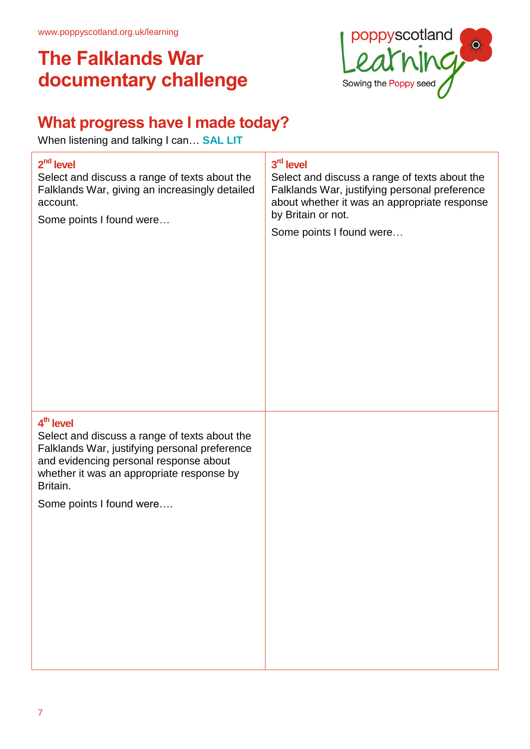

## **What progress have I made today?**

When listening and talking I can… **SAL LIT**

| $2nd$ level<br>Select and discuss a range of texts about the<br>Falklands War, giving an increasingly detailed<br>account.<br>Some points I found were                                                                                                 | 3rd level<br>Select and discuss a range of texts about the<br>Falklands War, justifying personal preference<br>about whether it was an appropriate response<br>by Britain or not.<br>Some points I found were |
|--------------------------------------------------------------------------------------------------------------------------------------------------------------------------------------------------------------------------------------------------------|---------------------------------------------------------------------------------------------------------------------------------------------------------------------------------------------------------------|
| 4 <sup>th</sup> level<br>Select and discuss a range of texts about the<br>Falklands War, justifying personal preference<br>and evidencing personal response about<br>whether it was an appropriate response by<br>Britain.<br>Some points I found were |                                                                                                                                                                                                               |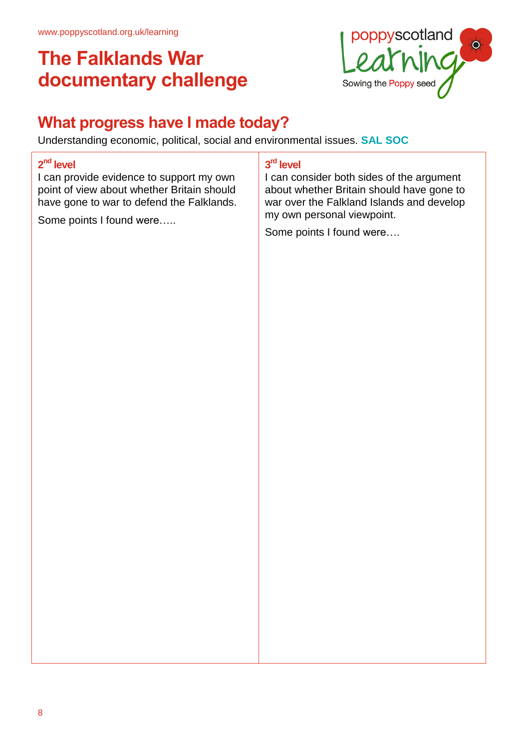

## **What progress have I made today?**

Understanding economic, political, social and environmental issues. **SAL SOC**

#### **2 nd level**

I can provide evidence to support my own point of view about whether Britain should have gone to war to defend the Falklands.

Some points I found were…..

#### **3 rd level**

I can consider both sides of the argument about whether Britain should have gone to war over the Falkland Islands and develop my own personal viewpoint.

Some points I found were….